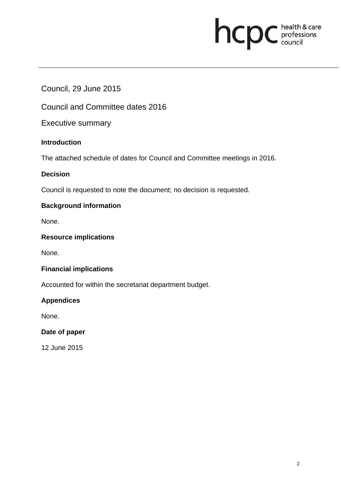# **health & care**

## Council, 29 June 2015

Council and Committee dates 2016

Executive summary

#### **Introduction**

The attached schedule of dates for Council and Committee meetings in 2016.

#### **Decision**

Council is requested to note the document; no decision is requested.

### **Background information**

None.

#### **Resource implications**

None.

#### **Financial implications**

Accounted for within the secretariat department budget.

#### **Appendices**

None.

#### **Date of paper**

12 June 2015